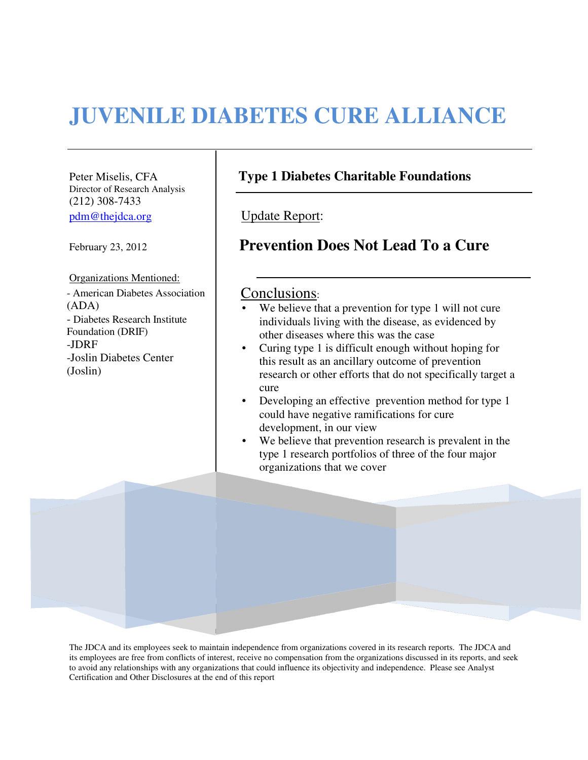# **JUVENILE DIABETES CURE ALLIANCE**

Director of Research Analysis (212) 308-7433 pdm@thejdca.org | Update Report:

Organizations Mentioned: - American Diabetes Association | Conclusions: (ADA) - Diabetes Research Institute Foundation (DRIF) -JDRF -Joslin Diabetes Center (Joslin)

## Peter Miselis, CFA **Type 1 Diabetes Charitable Foundations**

# February 23, 2012 **Prevention Does Not Lead To a Cure**

- We believe that a prevention for type 1 will not cure individuals living with the disease, as evidenced by other diseases where this was the case
- Curing type 1 is difficult enough without hoping for this result as an ancillary outcome of prevention research or other efforts that do not specifically target a cure
- Developing an effective prevention method for type 1 could have negative ramifications for cure development, in our view
- We believe that prevention research is prevalent in the type 1 research portfolios of three of the four major organizations that we cover

The JDCA and its employees seek to maintain independence from organizations covered in its research reports. The JDCA and its employees are free from conflicts of interest, receive no compensation from the organizations discussed in its reports, and seek to avoid any relationships with any organizations that could influence its objectivity and independence. Please see Analyst Certification and Other Disclosures at the end of this report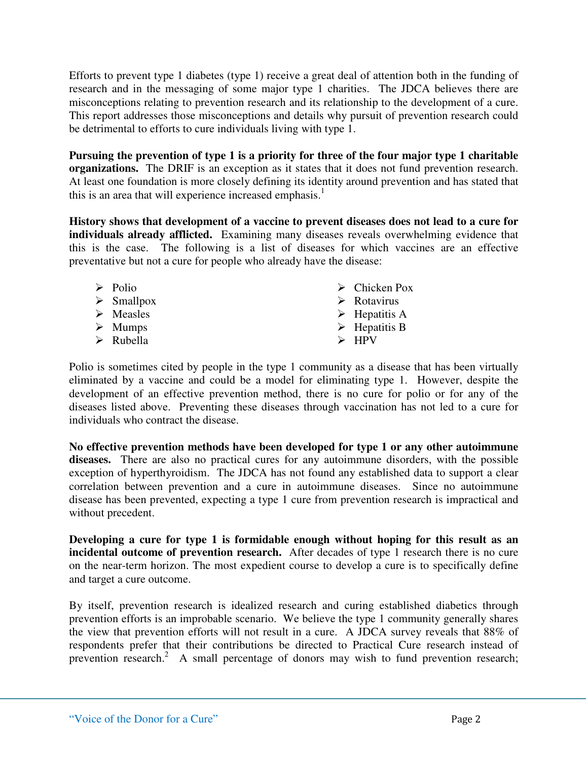Efforts to prevent type 1 diabetes (type 1) receive a great deal of attention both in the funding of research and in the messaging of some major type 1 charities. The JDCA believes there are misconceptions relating to prevention research and its relationship to the development of a cure. This report addresses those misconceptions and details why pursuit of prevention research could be detrimental to efforts to cure individuals living with type 1.

**Pursuing the prevention of type 1 is a priority for three of the four major type 1 charitable organizations.** The DRIF is an exception as it states that it does not fund prevention research. At least one foundation is more closely defining its identity around prevention and has stated that this is an area that will experience increased emphasis.<sup>1</sup>

**History shows that development of a vaccine to prevent diseases does not lead to a cure for individuals already afflicted.** Examining many diseases reveals overwhelming evidence that this is the case. The following is a list of diseases for which vaccines are an effective preventative but not a cure for people who already have the disease:

| $\triangleright$ Polio<br>$\triangleright$ Smallpox<br>$\triangleright$ Measles<br>$\triangleright$ Mumps | $\triangleright$ Chicken Pox<br>$\triangleright$ Rotavirus<br>$\triangleright$ Hepatitis A<br>$\triangleright$ Hepatitis B |
|-----------------------------------------------------------------------------------------------------------|----------------------------------------------------------------------------------------------------------------------------|
| $\triangleright$ Rubella                                                                                  | $\triangleright$ HPV                                                                                                       |

Polio is sometimes cited by people in the type 1 community as a disease that has been virtually eliminated by a vaccine and could be a model for eliminating type 1. However, despite the development of an effective prevention method, there is no cure for polio or for any of the diseases listed above. Preventing these diseases through vaccination has not led to a cure for individuals who contract the disease.

**No effective prevention methods have been developed for type 1 or any other autoimmune diseases.** There are also no practical cures for any autoimmune disorders, with the possible exception of hyperthyroidism.The JDCA has not found any established data to support a clear correlation between prevention and a cure in autoimmune diseases.Since no autoimmune disease has been prevented, expecting a type 1 cure from prevention research is impractical and without precedent.

**Developing a cure for type 1 is formidable enough without hoping for this result as an incidental outcome of prevention research.** After decades of type 1 research there is no cure on the near-term horizon. The most expedient course to develop a cure is to specifically define and target a cure outcome.

By itself, prevention research is idealized research and curing established diabetics through prevention efforts is an improbable scenario. We believe the type 1 community generally shares the view that prevention efforts will not result in a cure. A JDCA survey reveals that 88% of respondents prefer that their contributions be directed to Practical Cure research instead of prevention research.<sup>2</sup> A small percentage of donors may wish to fund prevention research;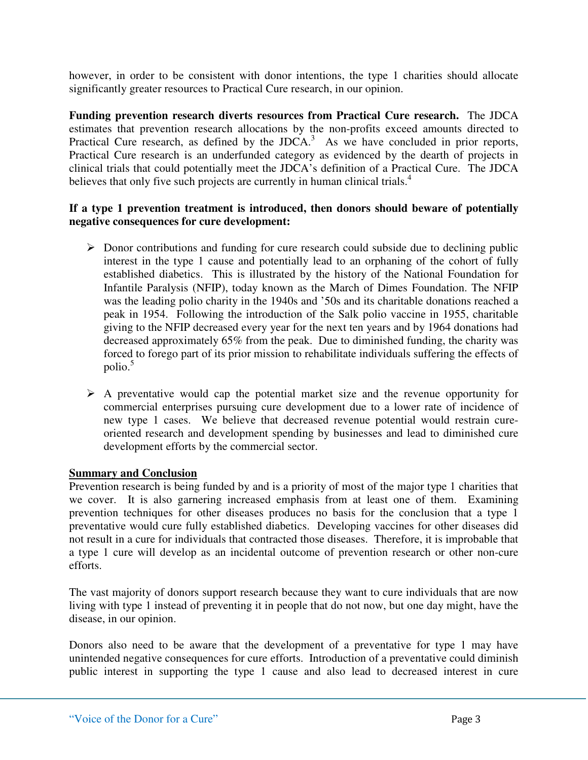however, in order to be consistent with donor intentions, the type 1 charities should allocate significantly greater resources to Practical Cure research, in our opinion.

**Funding prevention research diverts resources from Practical Cure research.** The JDCA estimates that prevention research allocations by the non-profits exceed amounts directed to Practical Cure research, as defined by the JDCA. $3$  As we have concluded in prior reports, Practical Cure research is an underfunded category as evidenced by the dearth of projects in clinical trials that could potentially meet the JDCA's definition of a Practical Cure. The JDCA believes that only five such projects are currently in human clinical trials.<sup>4</sup>

### **If a type 1 prevention treatment is introduced, then donors should beware of potentially negative consequences for cure development:**

- $\triangleright$  Donor contributions and funding for cure research could subside due to declining public interest in the type 1 cause and potentially lead to an orphaning of the cohort of fully established diabetics. This is illustrated by the history of the National Foundation for Infantile Paralysis (NFIP), today known as the March of Dimes Foundation. The NFIP was the leading polio charity in the 1940s and '50s and its charitable donations reached a peak in 1954. Following the introduction of the Salk polio vaccine in 1955, charitable giving to the NFIP decreased every year for the next ten years and by 1964 donations had decreased approximately 65% from the peak. Due to diminished funding, the charity was forced to forego part of its prior mission to rehabilitate individuals suffering the effects of polio.<sup>5</sup>
- $\triangleright$  A preventative would cap the potential market size and the revenue opportunity for commercial enterprises pursuing cure development due to a lower rate of incidence of new type 1 cases. We believe that decreased revenue potential would restrain cureoriented research and development spending by businesses and lead to diminished cure development efforts by the commercial sector.

### **Summary and Conclusion**

Prevention research is being funded by and is a priority of most of the major type 1 charities that we cover. It is also garnering increased emphasis from at least one of them. Examining prevention techniques for other diseases produces no basis for the conclusion that a type 1 preventative would cure fully established diabetics. Developing vaccines for other diseases did not result in a cure for individuals that contracted those diseases. Therefore, it is improbable that a type 1 cure will develop as an incidental outcome of prevention research or other non-cure efforts.

The vast majority of donors support research because they want to cure individuals that are now living with type 1 instead of preventing it in people that do not now, but one day might, have the disease, in our opinion.

Donors also need to be aware that the development of a preventative for type 1 may have unintended negative consequences for cure efforts. Introduction of a preventative could diminish public interest in supporting the type 1 cause and also lead to decreased interest in cure